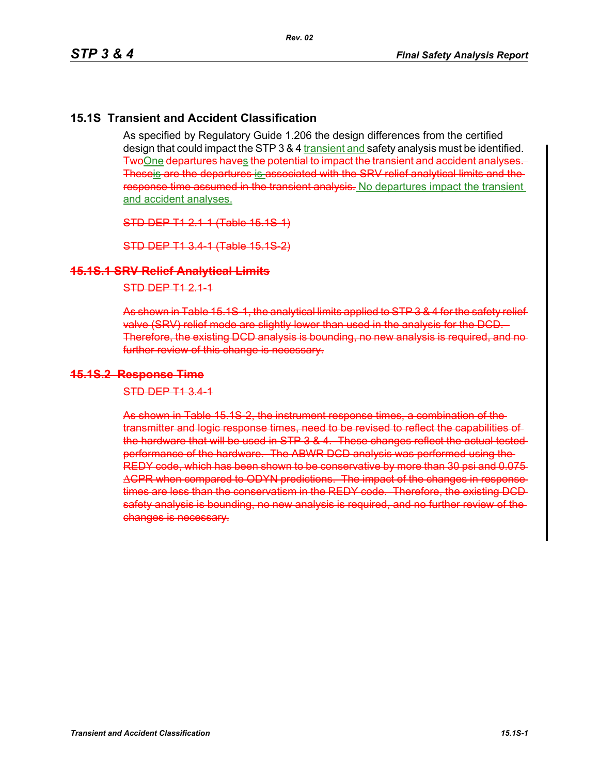### **15.1S Transient and Accident Classification**

As specified by Regulatory Guide 1.206 the design differences from the certified design that could impact the STP 3 & 4 transient and safety analysis must be identified. TwoOne departures haves the potential to impact the transient and accident analyses. Theseis are the departures is associated with the SRV relief analytical limits and the response time assumed in the transient analysis. No departures impact the transient and accident analyses.

STD DEP T1 2.1-1 (Table 15.1S-1)

STD DEP T1 3.4-1 (Table 15.1S-2)

#### **15.1S.1 SRV Relief Analytical Limits**

STD DEP T1 2.1-1

As shown in Table 15.1S 1, the analytical limits applied to STP 3 & 4 for the safety relief valve (SRV) relief mode are slightly lower than used in the analysis for the DCD. Therefore, the existing DCD analysis is bounding, no new analysis is required, and no further review of this change is necessary.

#### **15.1S.2 Response Time**

STD DEP T1 3.4-1

As shown in Table 15.1S-2, the instrument response times, a combination of the transmitter and logic response times, need to be revised to reflect the capabilities of the hardware that will be used in STP 3 & 4. These changes reflect the actual testedperformance of the hardware. The ABWR DCD analysis was performed using the REDY code, which has been shown to be conservative by more than 30 psi and 0.075 ΔCPR when compared to ODYN predictions. The impact of the changes in response times are less than the conservatism in the REDY code. Therefore, the existing DCD safety analysis is bounding, no new analysis is required, and no further review of the changes is necessary.